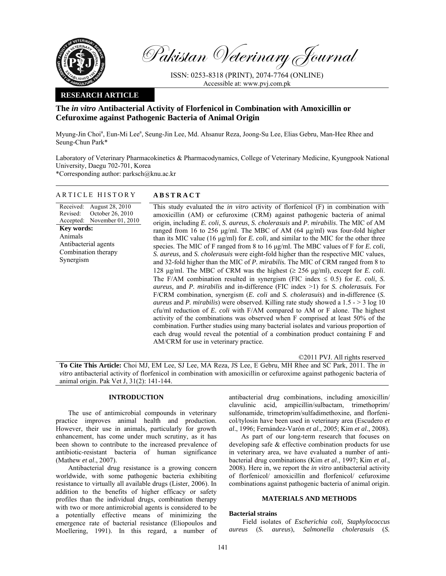

Pakistan Veterinary Journal

ISSN: 0253-8318 (PRINT), 2074-7764 (ONLINE) Accessible at: www.pvj.com.pk

## **RESEARCH ARTICLE**

# **The** *in vitro* **Antibacterial Activity of Florfenicol in Combination with Amoxicillin or Cefuroxime against Pathogenic Bacteria of Animal Origin**

Myung-Jin Choi<sup>a</sup>, Eun-Mi Lee<sup>a</sup>, Seung-Jin Lee, Md. Ahsanur Reza, Joong-Su Lee, Elias Gebru, Man-Hee Rhee and Seung-Chun Park\*

Laboratory of Veterinary Pharmacokinetics & Pharmacodynamics, College of Veterinary Medicine, Kyungpook National University, Daegu 702-701, Korea \*Corresponding author: parksch@knu.ac.kr

## ARTICLE HISTORY **ABSTRACT**

#### Received: Revised: Accepted: August 28, 2010 October 26, 2010 November 01, 2010 **Key words:**  Animals Antibacterial agents Combination therapy Synergism

This study evaluated the *in vitro* activity of florfenicol (F) in combination with amoxicillin (AM) or cefuroxime (CRM) against pathogenic bacteria of animal origin, including *E. coli*, *S. aureus, S. cholerasuis* and *P. mirabilis*. The MIC of AM ranged from 16 to 256 µg/ml. The MBC of AM (64 µg/ml) was four-fold higher than its MIC value (16 µg/ml) for *E. coli*, and similar to the MIC for the other three species. The MIC of F ranged from 8 to 16 µg/ml. The MBC values of F for *E. coli*, *S. aureus,* and *S. cholerasuis* were eight-fold higher than the respective MIC values, and 32-fold higher than the MIC of *P. mirabilis.* The MIC of CRM ranged from 8 to 128  $\mu$ g/ml. The MBC of CRM was the highest ( $\geq$  256  $\mu$ g/ml), except for *E. coli.* The F/AM combination resulted in synergism (FIC index  $\leq$  0.5) for *E. coli*, *S. aureus,* and *P. mirabilis* and in-difference (FIC index >1) for *S. cholerasuis.* For F/CRM combination, synergism (*E. coli* and *S. cholerasuis*) and in-difference (*S. aureus* and *P. mirabilis*) were observed. Killing rate study showed a 1.5 - > 3 log 10 cfu/ml reduction of *E. coli* with F/AM compared to AM or F alone. The highest activity of the combinations was observed when F comprised at least 50% of the combination. Further studies using many bacterial isolates and various proportion of each drug would reveal the potential of a combination product containing F and AM/CRM for use in veterinary practice.

©2011 PVJ. All rights reserved

**To Cite This Article:** Choi MJ, EM Lee, SJ Lee, MA Reza, JS Lee, E Gebru, MH Rhee and SC Park, 2011. The *in vitro* antibacterial activity of florfenicol in combination with amoxicillin or cefuroxime against pathogenic bacteria of animal origin. Pak Vet J, 31(2): 141-144.

## **INTRODUCTION**

The use of antimicrobial compounds in veterinary practice improves animal health and production. However, their use in animals, particularly for growth enhancement, has come under much scrutiny, as it has been shown to contribute to the increased prevalence of antibiotic-resistant bacteria of human significance (Mathew *et al*., 2007).

Antibacterial drug resistance is a growing concern worldwide, with some pathogenic bacteria exhibiting resistance to virtually all available drugs (Lister, 2006). In addition to the benefits of higher efficacy or safety profiles than the individual drugs, combination therapy with two or more antimicrobial agents is considered to be a potentially effective means of minimizing the emergence rate of bacterial resistance (Eliopoulos and Moellering, 1991). In this regard, a number of antibacterial drug combinations, including amoxicillin/ clavulinic acid, ampicillin/sulbactam, trimethoprim/ sulfonamide, trimetoprim/sulfadimethoxine, and florfenicol/tylosin have been used in veterinary area (Escudero *et al*., 1996; Fernández-Varón *et al*., 2005; Kim *et al*., 2008).

As part of our long-term research that focuses on developing safe & effective combination products for use in veterinary area, we have evaluated a number of antibacterial drug combinations (Kim *et al*., 1997; Kim *et al*., 2008). Here in, we report the *in vitro* antibacterial activity of florfenicol/ amoxicillin and florfenicol/ cefuroxime combinations against pathogenic bacteria of animal origin.

## **MATERIALS AND METHODS**

## **Bacterial strains**

Field isolates of *Escherichia coli, Staphylococcus aureus* (*S. aureus*), *Salmonella cholerasuis* (*S.*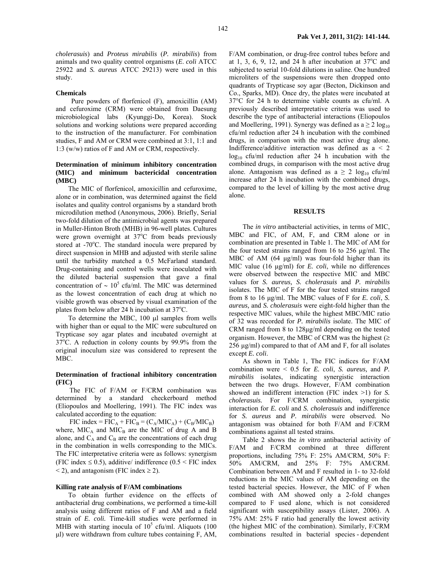*cholerasuis*) and *Proteus mirabilis* (*P. mirabilis*) from animals and two quality control organisms (*E*. *coli* ATCC 25922 and *S. aureus* ATCC 29213) were used in this study.

#### **Chemicals**

Pure powders of florfenicol (F), amoxicillin (AM) and cefuroxime (CRM) were obtained from Daesung microbiological labs (Kyunggi-Do, Korea). Stock solutions and working solutions were prepared according to the instruction of the manufacturer. For combination studies, F and AM or CRM were combined at 3:1, 1:1 and 1:3 (w/w) ratios of F and AM or CRM, respectively.

## **Determination of minimum inhibitory concentration (MIC) and minimum bactericidal concentration (MBC)**

The MIC of florfenicol, amoxicillin and cefuroxime, alone or in combination, was determined against the field isolates and quality control organisms by a standard broth microdilution method (Anonymous, 2006). Briefly, Serial two-fold dilution of the antimicrobial agents was prepared in Muller-Hinton Broth (MHB) in 96-well plates. Cultures were grown overnight at  $37^{\circ}$ C from beads previously stored at -70°C. The standard inocula were prepared by direct suspension in MHB and adjusted with sterile saline until the turbidity matched a 0.5 McFarland standard. Drug-containing and control wells were inoculated with the diluted bacterial suspension that gave a final concentration of  $\sim 10^5$  cfu/ml. The MIC was determined as the lowest concentration of each drug at which no visible growth was observed by visual examination of the plates from below after 24 h incubation at  $37^{\circ}$ C.

To determine the MBC, 100 µl samples from wells with higher than or equal to the MIC were subcultured on Trypticase soy agar plates and incubated overnight at 37<sup>o</sup>C. A reduction in colony counts by 99.9% from the original inoculum size was considered to represent the MBC.

## **Determination of fractional inhibitory concentration (FIC)**

The FIC of F/AM or F/CRM combination was determined by a standard checkerboard method (Eliopoulos and Moellering, 1991). The FIC index was calculated according to the equation:

 $FIC$  index =  $FIC_A + FIC_B = (C_A/MIC_A) + (C_B/MIC_B)$ where,  $MIC<sub>A</sub>$  and  $MIC<sub>B</sub>$  are the MIC of drug A and B alone, and  $C_A$  and  $C_B$  are the concentrations of each drug in the combination in wells corresponding to the MICs. The FIC interpretative criteria were as follows: synergism (FIC index  $\leq$  0.5), additive/ indifference (0.5  $\leq$  FIC index  $\le$  2), and antagonism (FIC index  $\ge$  2).

## **Killing rate analysis of F/AM combinations**

To obtain further evidence on the effects of antibacterial drug combinations, we performed a time-kill analysis using different ratios of F and AM and a field strain of *E. coli.* Time-kill studies were performed in MHB with starting inocula of  $10^5$  cfu/ml. Aliquots (100 µl) were withdrawn from culture tubes containing F, AM,

F/AM combination, or drug-free control tubes before and at 1, 3, 6, 9, 12, and 24 h after incubation at  $37^{\circ}$ C and subjected to serial 10-fold dilutions in saline. One hundred microliters of the suspensions were then dropped onto quadrants of Trypticase soy agar (Becton, Dickinson and Co., Sparks, MD). Once dry, the plates were incubated at 37°C for 24 h to determine viable counts as cfu/ml. A previously described interpretative criteria was used to describe the type of antibacterial interactions (Eliopoulos and Moellering, 1991). Synergy was defined as  $a \ge 2 \log_{10}$ cfu/ml reduction after 24 h incubation with the combined drugs, in comparison with the most active drug alone. Indifference/additive interaction was defined as a < 2 log<sub>10</sub> cfu/ml reduction after 24 h incubation with the combined drugs, in comparison with the most active drug alone. Antagonism was defined as  $a \ge 2 \log_{10} c f u/ml$ increase after 24 h incubation with the combined drugs, compared to the level of killing by the most active drug alone.

### **RESULTS**

The *in vitro* antibacterial activities, in terms of MIC, MBC and FIC, of AM, F, and CRM alone or in combination are presented in Table 1. The MIC of AM for the four tested strains ranged from 16 to 256 µg/ml. The MBC of AM (64 µg/ml) was four-fold higher than its MIC value (16 µg/ml) for *E. coli*, while no differences were observed between the respective MIC and MBC values for *S. aureus, S. cholerasuis* and *P. mirabilis* isolates. The MIC of F for the four tested strains ranged from 8 to 16 µg/ml. The MBC values of F for *E. coli*, *S. aureus,* and *S. cholerasuis* were eight-fold higher than the respective MIC values, while the highest MBC/MIC ratio of 32 was recorded for *P. mirabilis* isolate. The MIC of CRM ranged from 8 to 128µg/ml depending on the tested organism. However, the MBC of CRM was the highest  $(\geq$ 256 µg/ml) compared to that of AM and F, for all isolates except *E. coli*.

As shown in Table 1, The FIC indices for F/AM combination were < 0.5 for *E. coli*, *S. aureus,* and *P. mirabilis* isolates, indicating synergistic interaction between the two drugs. However, F/AM combination showed an indifferent interaction (FIC index >1) for *S. cholerasuis.* For F/CRM combination, synergistic interaction for *E. coli* and *S. cholerasuis* and indifference for *S. aureus* and *P. mirabilis* were observed. No antagonism was obtained for both F/AM and F/CRM combinations against all tested strains.

Table 2 shows the *in vitro* antibacterial activity of F/AM and F/CRM combined at three different proportions, including 75% F: 25% AM/CRM, 50% F: 50% AM/CRM, and 25% F: 75% AM/CRM. Combination between AM and F resulted in 1- to 32-fold reductions in the MIC values of AM depending on the tested bacterial species. However, the MIC of F when combined with AM showed only a 2-fold changes compared to F used alone, which is not considered significant with susceptibility assays (Lister, 2006). A 75% AM: 25% F ratio had generally the lowest activity (the highest MIC of the combination). Similarly, F/CRM combinations resulted in bacterial species - dependent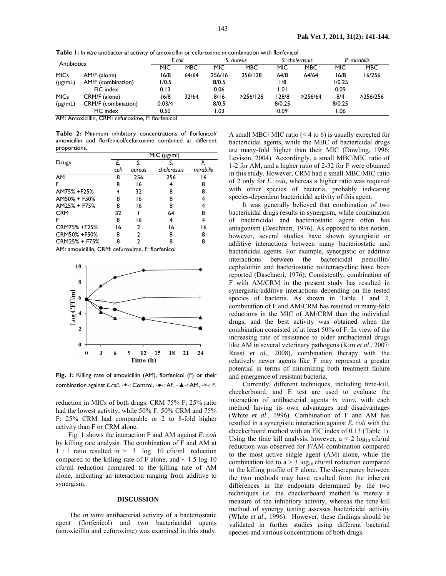**Table 1:** *In vitro* antibacterial activity of amoxicillin or cefuroxime in combination with florfenicol

| Antibiotics  |                     | E.coli |            | S. aureus |                | S. cholerasuis |         | mirabilis . |                |
|--------------|---------------------|--------|------------|-----------|----------------|----------------|---------|-------------|----------------|
|              |                     | MIC    | <b>MBC</b> | MIC       | <b>MBC</b>     | MIC            | MBC     | <b>MIC</b>  | <b>MBC</b>     |
| <b>MICs</b>  | AM/F (alone)        | 16/8   | 64/64      | 256/16    | 256/128        | 64/8           | 64/64   | 16/8        | 6/256          |
| $(\mu g/mL)$ | AM/F (combination)  | 1/0.5  |            | 8/0.5     |                | 1/8            |         | 1/0.25      |                |
|              | FIC index           | 0.13   |            | 0.06      |                | 1.01           |         | 0.09        |                |
| <b>MICs</b>  | CRM/F (alone)       | 16/8   | 32/64      | 8/16      | $\geq$ 256/128 | 128/8          | ≥256/64 | 8/4         | $\geq$ 256/256 |
| $(\mu g/mL)$ | CRM/F (combination) | 0.03/4 |            | 8/0.5     |                | 8/0.25         |         | 8/0.25      |                |
|              | FIC index           | 0.50   |            | I.O3      |                | 0.09           |         | 06. ا       |                |

AM: Amoxicillin, CRM: cefuroxime, F: florfenicol

**Table 2:** Minimum inhibitory concentrations of florfenicol/ amoxicillin and florfenicol/cefuroxime combined at different proportions.

|                 | MIC (µg/ml) |               |             |           |  |  |  |
|-----------------|-------------|---------------|-------------|-----------|--|--|--|
| Drugs           | E.          | S.            |             | P.        |  |  |  |
|                 | coli        | <i>aureus</i> | cholerasuis | mirabilis |  |  |  |
| $\overline{AM}$ | 8           | 256           | 256         | 16        |  |  |  |
| F               | 8           | 16            |             | 8         |  |  |  |
| AM75% +F25%     |             | 32            | 8           | 8         |  |  |  |
| AM50% + F50%    | 8           | 16            | 8           |           |  |  |  |
| AM25% + F75%    | 8           | 16            | 8           |           |  |  |  |
| <b>CRM</b>      | 32          |               | 64          | 8         |  |  |  |
| F               | 8           | 16            | 4           | 4         |  |  |  |
| CRM75% +F25%    | 16          | $\mathbf{2}$  | 16          | 16        |  |  |  |
| CRM50% +F50%    | 8           | 2             | 8           | 8         |  |  |  |
| CRM25% + F75%   | 8           | 2             | 8           | 8         |  |  |  |

AM: amoxicillin, CRM: cefuroxime, F: florfenicol



**Fig. 1:** Killing rate of amoxicillin (AM), florfenicol (F) or their combination against *E.coli*. -◆-: Control, -●-: AF, -▲-: AM, -×-: F.

reduction in MICs of both drugs. CRM 75% F: 25% ratio had the lowest activity, while 50% F: 50% CRM and 75% F: 25% CRM had comparable or 2 to 8-fold higher activity than F or CRM alone.

Fig. 1 shows the interaction F and AM against *E. coli* by killing rate analysis. The combination of F and AM at 1 : 1 ratio resulted in > 3 log 10 cfu/ml reduction compared to the killing rate of F alone, and ∼ 1.5 log 10 cfu/ml reduction compared to the killing rate of AM alone, indicating an interaction ranging from additive to synergism.

## **DISCUSSION**

The *in vitro* antibacterial activity of a bacteriostatic agent (florfenicol) and two bacteriacidal agents (amoxicillin and cefuroxime) was examined in this study.

A small MBC/ MIC ratio (< 4 to 6) is usually expected for bactericidal agents, while the MBC of bactericidal drugs are many-fold higher than their MIC (Dowling, 1996; Levison, 2004). Accordingly, a small MBC/MIC ratio of 1-2 for AM, and a higher ratio of 2-32 for F were obtained in this study. However, CRM had a small MBC/MIC ratio of 2 only for *E. coli,* whereas a higher ratio was required with other species of bacteria, probably indicating species-dependent bactericidal activity of this agent.

It was generally believed that combination of two bactericidal drugs results in synergism, while combination of bactericidal and bacteriostatic agent often has antagonism (Daschneri, 1976). As opposed to this notion, however, several studies have shown synergistic or additive interactions between many bacteriostatic and bactericidal agents. For example, synergistic or additive interactions between the bactericidal penicillin/ cephalothin and bacteriostatic rolitetracycline have been reported (Daschneri, 1976). Consistently, combination of F with AM/CRM in the present study has resulted in synergistic/additive interactions depending on the tested species of bacteria. As shown in Table 1 and 2, combination of F and AM/CRM has resulted in many-fold reductions in the MIC of AM/CRM than the individual drugs, and the best activity was obtained when the combination consisted of at least 50% of F. In view of the increasing rate of resistance to older antibacterial drugs like AM in several veterinary pathogens (Kim *et al*., 2007: Russi *et al*., 2008), combination therapy with the relatively newer agents like F may represent a greater potential in terms of minimizing both treatment failure and emergence of resistant bacteria.

Currently, different techniques, including time-kill, checkerboard, and E test are used to evaluate the interaction of antibacterial agents *in vitro*, with each method having its own advantages and disadvantages (White *et al*., 1996). Combination of F and AM has resulted in a synergistic interaction against *E. coli* with the checkerboard method with an FIC index of 0.13 (Table 1). Using the time kill analysis, however,  $a < 2 \log_{10} c \frac{f(u)}{m}$ reduction was observed for F/AM combination compared to the most active single agent (AM) alone, while the combination led to  $a > 3 \log_{10} c f u/ml$  reduction compared to the killing profile of F alone. The discrepancy between the two methods may have resulted from the inherent differences in the endpoints determined by the two techniques i.e. the checkerboard method is merely a measure of the inhibitory activity, whereas the time-kill method of synergy testing assesses bactericidal activity (White *et al*., 1996). However, these findings should be validated in further studies using different bacterial species and various concentrations of both drugs.